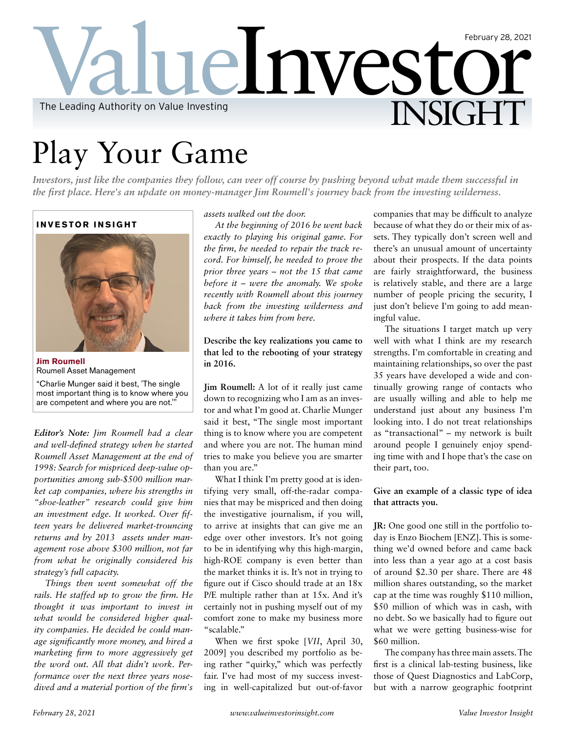## **Lelnvesto** INSIGHT February 28, 2021 The Leading Authority on Value Investing

# Play Your Game

*Investors, just like the companies they follow, can veer off course by pushing beyond what made them successful in the first place. Here's an update on money-manager Jim Roumell's journey back from the investing wilderness.* 

#### **INVESTOR INSIGHT**



**Jim Roumell**  Roumell Asset Management "Charlie Munger said it best, 'The single most important thing is to know where you

are competent and where you are not.'"

*Editor's Note: Jim Roumell had a clear and well-defined strategy when he started Roumell Asset Management at the end of 1998: Search for mispriced deep-value opportunities among sub-\$500 million market cap companies, where his strengths in "shoe-leather" research could give him an investment edge. It worked. Over fifteen years he delivered market-trouncing returns and by 2013 assets under management rose above \$300 million, not far from what he originally considered his strategy's full capacity.*

*Things then went somewhat off the rails. He staffed up to grow the firm. He thought it was important to invest in what would be considered higher quality companies. He decided he could manage significantly more money, and hired a marketing firm to more aggressively get the word out. All that didn't work. Performance over the next three years nosedived and a material portion of the firm's*  *assets walked out the door.* 

*At the beginning of 2016 he went back exactly to playing his original game. For the firm, he needed to repair the track record. For himself, he needed to prove the prior three years – not the 15 that came before it – were the anomaly. We spoke recently with Roumell about this journey back from the investing wilderness and where it takes him from here.* 

**Describe the key realizations you came to that led to the rebooting of your strategy in 2016.**

**Jim Roumell:** A lot of it really just came down to recognizing who I am as an investor and what I'm good at. Charlie Munger said it best, "The single most important thing is to know where you are competent and where you are not. The human mind tries to make you believe you are smarter than you are."

What I think I'm pretty good at is identifying very small, off-the-radar companies that may be mispriced and then doing the investigative journalism, if you will, to arrive at insights that can give me an edge over other investors. It's not going to be in identifying why this high-margin, high-ROE company is even better than the market thinks it is. It's not in trying to figure out if Cisco should trade at an 18x P/E multiple rather than at 15x. And it's certainly not in pushing myself out of my comfort zone to make my business more "scalable."

When we first spoke [*VII*, April 30, 2009] you described my portfolio as being rather "quirky," which was perfectly fair. I've had most of my success investing in well-capitalized but out-of-favor companies that may be difficult to analyze because of what they do or their mix of assets. They typically don't screen well and there's an unusual amount of uncertainty about their prospects. If the data points are fairly straightforward, the business is relatively stable, and there are a large number of people pricing the security, I just don't believe I'm going to add meaningful value.

The situations I target match up very well with what I think are my research strengths. I'm comfortable in creating and maintaining relationships, so over the past 35 years have developed a wide and continually growing range of contacts who are usually willing and able to help me understand just about any business I'm looking into. I do not treat relationships as "transactional" – my network is built around people I genuinely enjoy spending time with and I hope that's the case on their part, too.

**Give an example of a classic type of idea that attracts you.**

**JR:** One good one still in the portfolio today is Enzo Biochem [ENZ]. This is something we'd owned before and came back into less than a year ago at a cost basis of around \$2.30 per share. There are 48 million shares outstanding, so the market cap at the time was roughly \$110 million, \$50 million of which was in cash, with no debt. So we basically had to figure out what we were getting business-wise for \$60 million.

The company has three main assets. The first is a clinical lab-testing business, like those of Quest Diagnostics and LabCorp, but with a narrow geographic footprint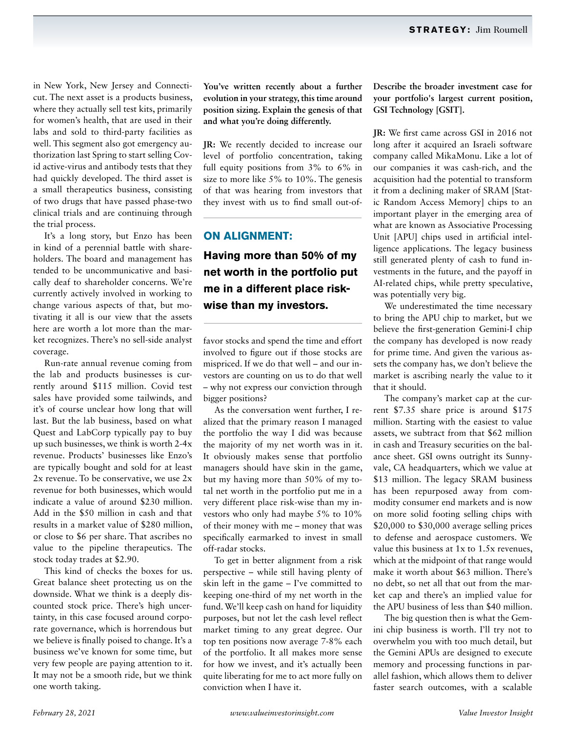in New York, New Jersey and Connecticut. The next asset is a products business, where they actually sell test kits, primarily for women's health, that are used in their labs and sold to third-party facilities as well. This segment also got emergency authorization last Spring to start selling Covid active-virus and antibody tests that they had quickly developed. The third asset is a small therapeutics business, consisting of two drugs that have passed phase-two clinical trials and are continuing through the trial process.

It's a long story, but Enzo has been in kind of a perennial battle with shareholders. The board and management has tended to be uncommunicative and basically deaf to shareholder concerns. We're currently actively involved in working to change various aspects of that, but motivating it all is our view that the assets here are worth a lot more than the market recognizes. There's no sell-side analyst coverage.

Run-rate annual revenue coming from the lab and products businesses is currently around \$115 million. Covid test sales have provided some tailwinds, and it's of course unclear how long that will last. But the lab business, based on what Quest and LabCorp typically pay to buy up such businesses, we think is worth 2-4x revenue. Products' businesses like Enzo's are typically bought and sold for at least 2x revenue. To be conservative, we use 2x revenue for both businesses, which would indicate a value of around \$230 million. Add in the \$50 million in cash and that results in a market value of \$280 million, or close to \$6 per share. That ascribes no value to the pipeline therapeutics. The stock today trades at \$2.90.

This kind of checks the boxes for us. Great balance sheet protecting us on the downside. What we think is a deeply discounted stock price. There's high uncertainty, in this case focused around corporate governance, which is horrendous but we believe is finally poised to change. It's a business we've known for some time, but very few people are paying attention to it. It may not be a smooth ride, but we think one worth taking.

**You've written recently about a further evolution in your strategy, this time around position sizing. Explain the genesis of that and what you're doing differently.**

**JR:** We recently decided to increase our level of portfolio concentration, taking full equity positions from 3% to 6% in size to more like 5% to 10%. The genesis of that was hearing from investors that they invest with us to find small out-of-

## **ON ALIGNMENT: Having more than 50% of my net worth in the portfolio put me in a different place riskwise than my investors.**

favor stocks and spend the time and effort involved to figure out if those stocks are mispriced. If we do that well – and our investors are counting on us to do that well – why not express our conviction through bigger positions?

As the conversation went further, I realized that the primary reason I managed the portfolio the way I did was because the majority of my net worth was in it. It obviously makes sense that portfolio managers should have skin in the game, but my having more than 50% of my total net worth in the portfolio put me in a very different place risk-wise than my investors who only had maybe 5% to 10% of their money with me – money that was specifically earmarked to invest in small off-radar stocks.

To get in better alignment from a risk perspective – while still having plenty of skin left in the game – I've committed to keeping one-third of my net worth in the fund. We'll keep cash on hand for liquidity purposes, but not let the cash level reflect market timing to any great degree. Our top ten positions now average 7-8% each of the portfolio. It all makes more sense for how we invest, and it's actually been quite liberating for me to act more fully on conviction when I have it.

**Describe the broader investment case for your portfolio's largest current position, GSI Technology [GSIT].**

**JR:** We first came across GSI in 2016 not long after it acquired an Israeli software company called MikaMonu. Like a lot of our companies it was cash-rich, and the acquisition had the potential to transform it from a declining maker of SRAM [Static Random Access Memory] chips to an important player in the emerging area of what are known as Associative Processing Unit [APU] chips used in artificial intelligence applications. The legacy business still generated plenty of cash to fund investments in the future, and the payoff in AI-related chips, while pretty speculative, was potentially very big.

We underestimated the time necessary to bring the APU chip to market, but we believe the first-generation Gemini-I chip the company has developed is now ready for prime time. And given the various assets the company has, we don't believe the market is ascribing nearly the value to it that it should.

The company's market cap at the current \$7.35 share price is around \$175 million. Starting with the easiest to value assets, we subtract from that \$62 million in cash and Treasury securities on the balance sheet. GSI owns outright its Sunnyvale, CA headquarters, which we value at \$13 million. The legacy SRAM business has been repurposed away from commodity consumer end markets and is now on more solid footing selling chips with \$20,000 to \$30,000 average selling prices to defense and aerospace customers. We value this business at 1x to 1.5x revenues, which at the midpoint of that range would make it worth about \$63 million. There's no debt, so net all that out from the market cap and there's an implied value for the APU business of less than \$40 million.

The big question then is what the Gemini chip business is worth. I'll try not to overwhelm you with too much detail, but the Gemini APUs are designed to execute memory and processing functions in parallel fashion, which allows them to deliver faster search outcomes, with a scalable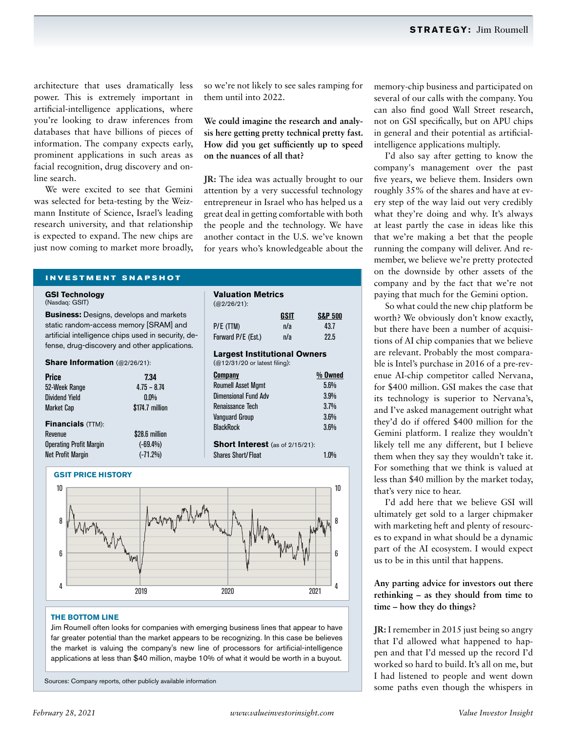architecture that uses dramatically less power. This is extremely important in artificial-intelligence applications, where you're looking to draw inferences from databases that have billions of pieces of information. The company expects early, prominent applications in such areas as facial recognition, drug discovery and online search.

We were excited to see that Gemini was selected for beta-testing by the Weizmann Institute of Science, Israel's leading research university, and that relationship is expected to expand. The new chips are just now coming to market more broadly, so we're not likely to see sales ramping for them until into 2022.

**We could imagine the research and analysis here getting pretty technical pretty fast. How did you get sufficiently up to speed on the nuances of all that?**

**JR:** The idea was actually brought to our attention by a very successful technology entrepreneur in Israel who has helped us a great deal in getting comfortable with both the people and the technology. We have another contact in the U.S. we've known for years who's knowledgeable about the

**GSIT S&P 500**

**Valuation Metrics**

(@12/31/20 or latest filing):

Renaissance Tech

P/E (TTM)  $n/a$  43.7 Forward P/E (Est.) n/a 22.5 **Largest Institutional Owners**

**Company % Owned** Roumell Asset Mamt 5.6% Dimensional Fund Adv 3.9%<br>Renaissance Tech 3.7%

Vanguard Group 3.6% BlackRock 3.6%

**Short Interest** (as of 2/15/21): Shares Short/Float 1.0%

(@2/26/21):

### **INVESTMENT SNAPSHOT**

#### **GSI Technology**  (Nasdaq: GSIT)

**Business:** Designs, develops and markets static random-access memory [SRAM] and artificial intelligence chips used in security, defense, drug-discovery and other applications.

#### **Share Information** (@2/26/21):

| <b>Price</b>                   | 7.34            |
|--------------------------------|-----------------|
| 52-Week Range                  | $4.75 - 8.74$   |
| <b>Dividend Yield</b>          | $0.0\%$         |
| <b>Market Cap</b>              | \$174.7 million |
| <b>Financials (TTM):</b>       |                 |
| Revenue                        | \$28.6 million  |
| <b>Operating Profit Margin</b> | $(-69.4\%)$     |
| <b>Net Profit Margin</b>       | $(-71.2%)$      |



#### **THE BOTTOM LINE**

Jim Roumell often looks for companies with emerging business lines that appear to have far greater potential than the market appears to be recognizing. In this case be believes the market is valuing the company's new line of processors for artificial-intelligence applications at less than \$40 million, maybe 10% of what it would be worth in a buyout.

Sources: Company reports, other publicly available information

memory-chip business and participated on several of our calls with the company. You can also find good Wall Street research, not on GSI specifically, but on APU chips in general and their potential as artificialintelligence applications multiply.

I'd also say after getting to know the company's management over the past five years, we believe them. Insiders own roughly 35% of the shares and have at every step of the way laid out very credibly what they're doing and why. It's always at least partly the case in ideas like this that we're making a bet that the people running the company will deliver. And remember, we believe we're pretty protected on the downside by other assets of the company and by the fact that we're not paying that much for the Gemini option.

So what could the new chip platform be worth? We obviously don't know exactly, but there have been a number of acquisitions of AI chip companies that we believe are relevant. Probably the most comparable is Intel's purchase in 2016 of a pre-revenue AI-chip competitor called Nervana, for \$400 million. GSI makes the case that its technology is superior to Nervana's, and I've asked management outright what they'd do if offered \$400 million for the Gemini platform. I realize they wouldn't likely tell me any different, but I believe them when they say they wouldn't take it. For something that we think is valued at less than \$40 million by the market today, that's very nice to hear.

I'd add here that we believe GSI will ultimately get sold to a larger chipmaker with marketing heft and plenty of resources to expand in what should be a dynamic part of the AI ecosystem. I would expect us to be in this until that happens.

**Any parting advice for investors out there rethinking – as they should from time to time – how they do things?**

**JR:** I remember in 2015 just being so angry that I'd allowed what happened to happen and that I'd messed up the record I'd worked so hard to build. It's all on me, but I had listened to people and went down some paths even though the whispers in